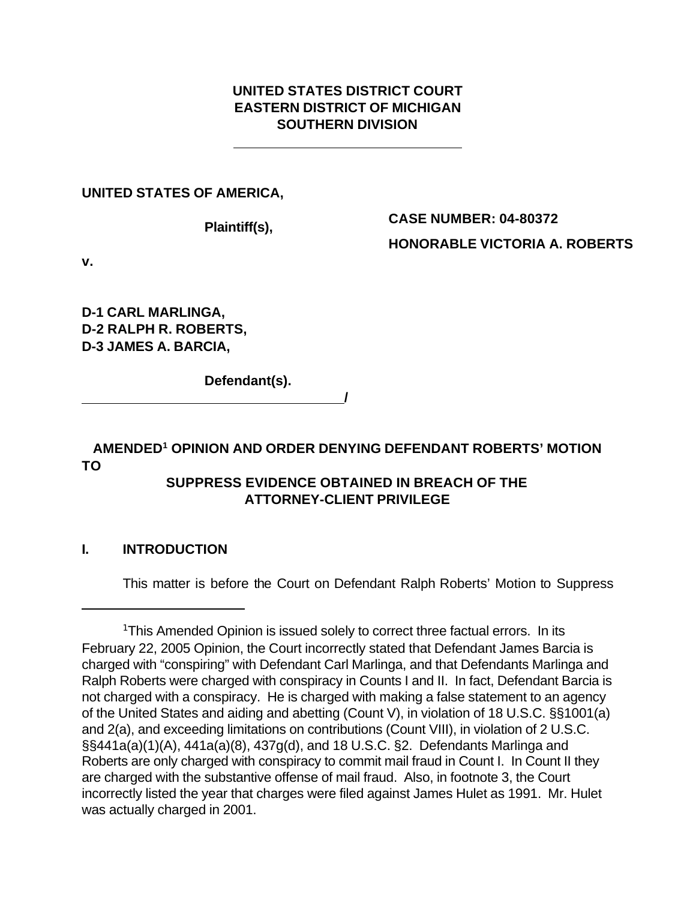### **UNITED STATES DISTRICT COURT EASTERN DISTRICT OF MICHIGAN SOUTHERN DIVISION**

**UNITED STATES OF AMERICA,**

**Plaintiff(s),**

**CASE NUMBER: 04-80372 HONORABLE VICTORIA A. ROBERTS**

**v.**

**D-1 CARL MARLINGA, D-2 RALPH R. ROBERTS, D-3 JAMES A. BARCIA,**

**Defendant(s).**

**AMENDED<sup>1</sup> OPINION AND ORDER DENYING DEFENDANT ROBERTS' MOTION TO**

 **/**

## **SUPPRESS EVIDENCE OBTAINED IN BREACH OF THE ATTORNEY-CLIENT PRIVILEGE**

## **I. INTRODUCTION**

This matter is before the Court on Defendant Ralph Roberts' Motion to Suppress

<sup>&</sup>lt;sup>1</sup>This Amended Opinion is issued solely to correct three factual errors. In its February 22, 2005 Opinion, the Court incorrectly stated that Defendant James Barcia is charged with "conspiring" with Defendant Carl Marlinga, and that Defendants Marlinga and Ralph Roberts were charged with conspiracy in Counts I and II. In fact, Defendant Barcia is not charged with a conspiracy. He is charged with making a false statement to an agency of the United States and aiding and abetting (Count V), in violation of 18 U.S.C. §§1001(a) and 2(a), and exceeding limitations on contributions (Count VIII), in violation of 2 U.S.C. §§441a(a)(1)(A), 441a(a)(8), 437g(d), and 18 U.S.C. §2. Defendants Marlinga and Roberts are only charged with conspiracy to commit mail fraud in Count I. In Count II they are charged with the substantive offense of mail fraud. Also, in footnote 3, the Court incorrectly listed the year that charges were filed against James Hulet as 1991. Mr. Hulet was actually charged in 2001.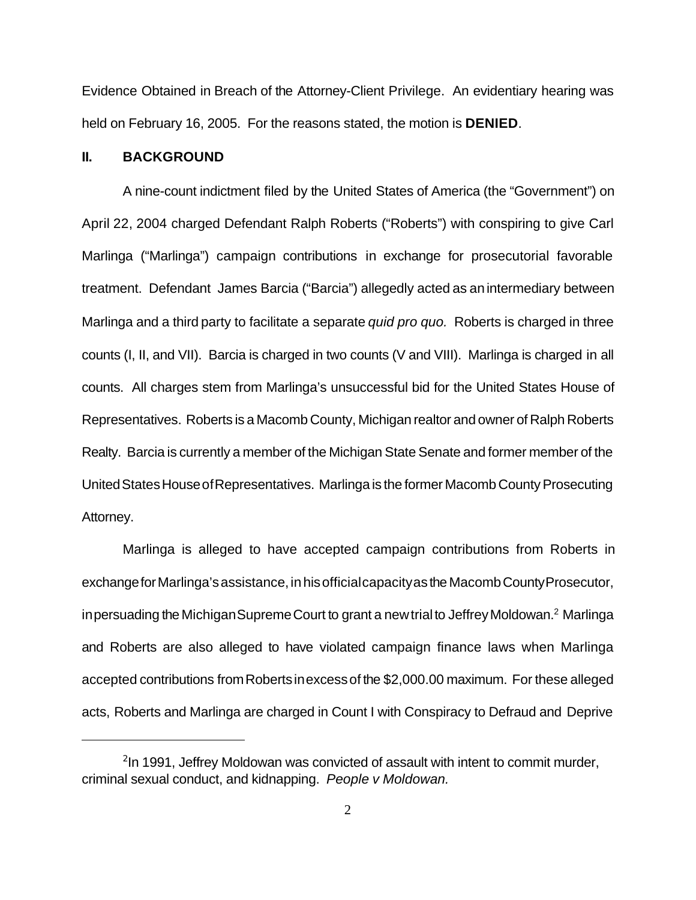Evidence Obtained in Breach of the Attorney-Client Privilege. An evidentiary hearing was held on February 16, 2005. For the reasons stated, the motion is **DENIED**.

#### **II. BACKGROUND**

A nine-count indictment filed by the United States of America (the "Government") on April 22, 2004 charged Defendant Ralph Roberts ("Roberts") with conspiring to give Carl Marlinga ("Marlinga") campaign contributions in exchange for prosecutorial favorable treatment. Defendant James Barcia ("Barcia") allegedly acted as anintermediary between Marlinga and a third party to facilitate a separate *quid pro quo.* Roberts is charged in three counts (I, II, and VII). Barcia is charged in two counts (V and VIII). Marlinga is charged in all counts. All charges stem from Marlinga's unsuccessful bid for the United States House of Representatives. Roberts is a Macomb County, Michigan realtor and owner of Ralph Roberts Realty. Barcia is currently a member of the Michigan State Senate and former member of the UnitedStatesHouseofRepresentatives. Marlinga is the former Macomb County Prosecuting Attorney.

Marlinga is alleged to have accepted campaign contributions from Roberts in exchange for Marlinga's assistance, in his official capacity as the Macomb County Prosecutor, in persuading the Michigan Supreme Court to grant a new trial to Jeffrey Moldowan. $^2$  Marlinga and Roberts are also alleged to have violated campaign finance laws when Marlinga accepted contributions fromRobertsinexcessof the \$2,000.00 maximum. For these alleged acts, Roberts and Marlinga are charged in Count I with Conspiracy to Defraud and Deprive

<sup>&</sup>lt;sup>2</sup>In 1991, Jeffrey Moldowan was convicted of assault with intent to commit murder, criminal sexual conduct, and kidnapping. *People v Moldowan.*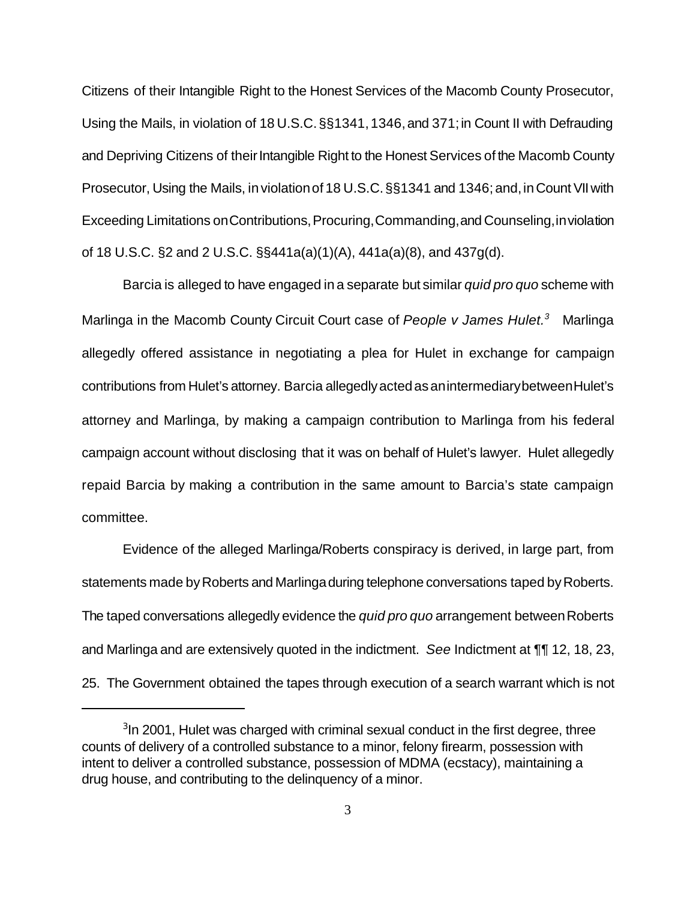Citizens of their Intangible Right to the Honest Services of the Macomb County Prosecutor, Using the Mails, in violation of 18 U.S.C.§§1341,1346,and 371;in Count II with Defrauding and Depriving Citizens of their Intangible Right to the Honest Services of the Macomb County Prosecutor, Using the Mails, in violation of 18 U.S.C. §§1341 and 1346; and, in Count VII with Exceeding Limitations on Contributions, Procuring, Commanding, and Counseling, in violation of 18 U.S.C. §2 and 2 U.S.C. §§441a(a)(1)(A), 441a(a)(8), and 437g(d).

Barcia is alleged to have engaged in a separate but similar *quid pro quo* scheme with Marlinga in the Macomb County Circuit Court case of *People v James Hulet.<sup>3</sup>* Marlinga allegedly offered assistance in negotiating a plea for Hulet in exchange for campaign contributions from Hulet's attorney. Barcia allegedlyactedasanintermediarybetweenHulet's attorney and Marlinga, by making a campaign contribution to Marlinga from his federal campaign account without disclosing that it was on behalf of Hulet's lawyer. Hulet allegedly repaid Barcia by making a contribution in the same amount to Barcia's state campaign committee.

Evidence of the alleged Marlinga/Roberts conspiracy is derived, in large part, from statements made by Roberts and Marlinga during telephone conversations taped by Roberts. The taped conversations allegedly evidence the *quid pro quo* arrangement betweenRoberts and Marlinga and are extensively quoted in the indictment. *See* Indictment at ¶¶ 12, 18, 23, 25. The Government obtained the tapes through execution of a search warrant which is not

<sup>&</sup>lt;sup>3</sup>In 2001, Hulet was charged with criminal sexual conduct in the first degree, three counts of delivery of a controlled substance to a minor, felony firearm, possession with intent to deliver a controlled substance, possession of MDMA (ecstacy), maintaining a drug house, and contributing to the delinquency of a minor.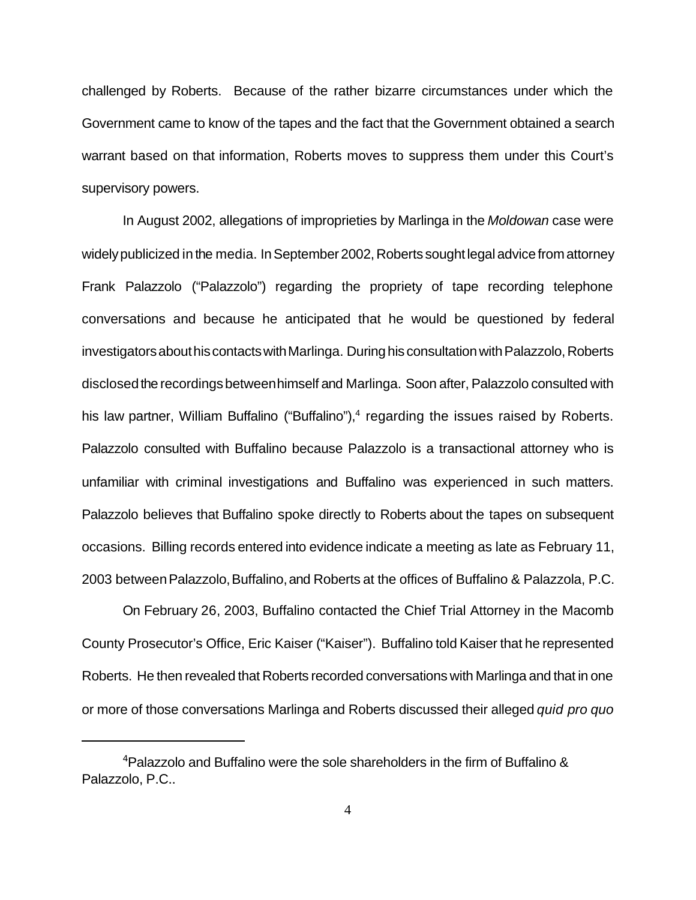challenged by Roberts. Because of the rather bizarre circumstances under which the Government came to know of the tapes and the fact that the Government obtained a search warrant based on that information, Roberts moves to suppress them under this Court's supervisory powers.

In August 2002, allegations of improprieties by Marlinga in the *Moldowan* case were widelypublicized in the media. In September 2002, Roberts sought legal advice from attorney Frank Palazzolo ("Palazzolo") regarding the propriety of tape recording telephone conversations and because he anticipated that he would be questioned by federal investigators about his contacts with Marlinga. During his consultation with Palazzolo, Roberts disclosed the recordings between himself and Marlinga. Soon after, Palazzolo consulted with his law partner, William Buffalino ("Buffalino"),<sup>4</sup> regarding the issues raised by Roberts. Palazzolo consulted with Buffalino because Palazzolo is a transactional attorney who is unfamiliar with criminal investigations and Buffalino was experienced in such matters. Palazzolo believes that Buffalino spoke directly to Roberts about the tapes on subsequent occasions. Billing records entered into evidence indicate a meeting as late as February 11, 2003 between Palazzolo, Buffalino, and Roberts at the offices of Buffalino & Palazzola, P.C.

On February 26, 2003, Buffalino contacted the Chief Trial Attorney in the Macomb County Prosecutor's Office, Eric Kaiser ("Kaiser"). Buffalino told Kaiser that he represented Roberts. He then revealed that Roberts recorded conversations with Marlinga and that in one or more of those conversations Marlinga and Roberts discussed their alleged *quid pro quo*

<sup>4</sup>Palazzolo and Buffalino were the sole shareholders in the firm of Buffalino & Palazzolo, P.C..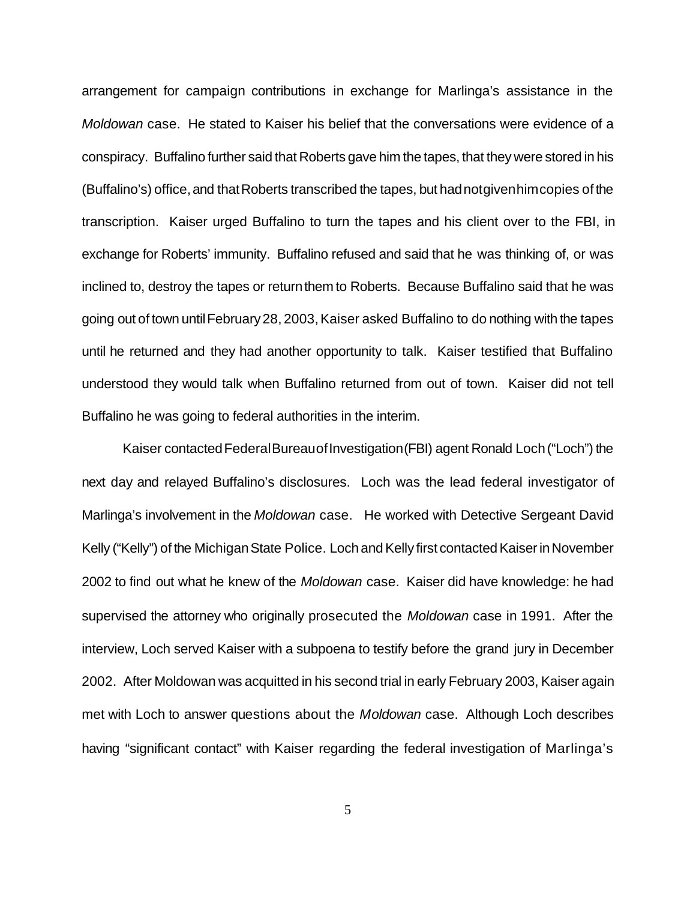arrangement for campaign contributions in exchange for Marlinga's assistance in the *Moldowan* case. He stated to Kaiser his belief that the conversations were evidence of a conspiracy. Buffalino further said that Roberts gave him the tapes, that they were stored in his (Buffalino's) office, and that Roberts transcribed the tapes, but had not given him copies of the transcription. Kaiser urged Buffalino to turn the tapes and his client over to the FBI, in exchange for Roberts' immunity. Buffalino refused and said that he was thinking of, or was inclined to, destroy the tapes or return them to Roberts. Because Buffalino said that he was going out of town untilFebruary28, 2003,Kaiser asked Buffalino to do nothing with the tapes until he returned and they had another opportunity to talk. Kaiser testified that Buffalino understood they would talk when Buffalino returned from out of town. Kaiser did not tell Buffalino he was going to federal authorities in the interim.

Kaiser contactedFederalBureauofInvestigation(FBI) agent Ronald Loch("Loch") the next day and relayed Buffalino's disclosures. Loch was the lead federal investigator of Marlinga's involvement in the *Moldowan* case. He worked with Detective Sergeant David Kelly ("Kelly") of the Michigan State Police. Loch and Kelly first contacted Kaiser in November 2002 to find out what he knew of the *Moldowan* case. Kaiser did have knowledge: he had supervised the attorney who originally prosecuted the *Moldowan* case in 1991. After the interview, Loch served Kaiser with a subpoena to testify before the grand jury in December 2002. After Moldowan was acquitted in his second trial in early February 2003, Kaiser again met with Loch to answer questions about the *Moldowan* case. Although Loch describes having "significant contact" with Kaiser regarding the federal investigation of Marlinga's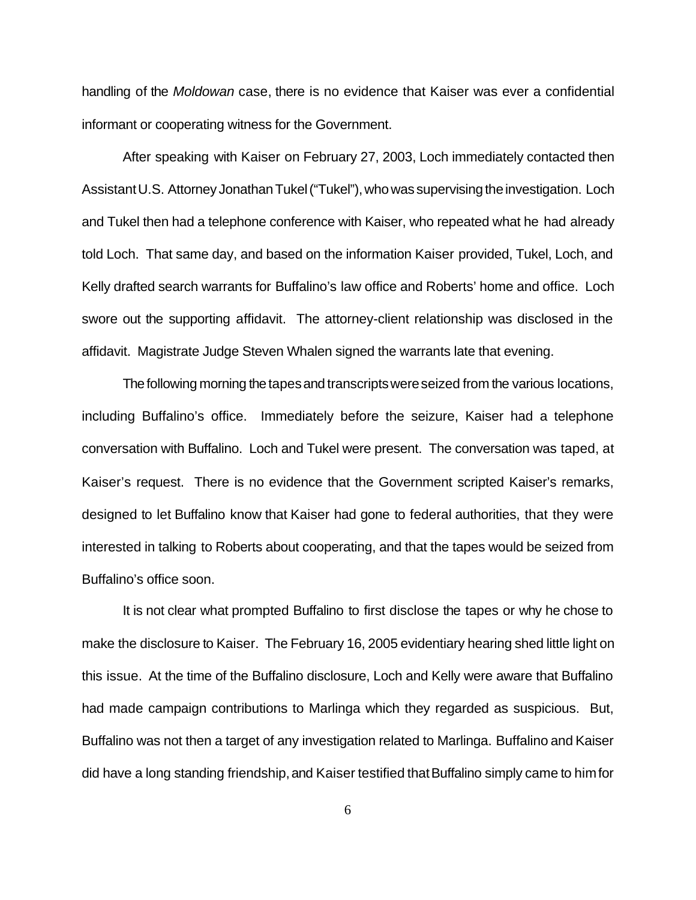handling of the *Moldowan* case, there is no evidence that Kaiser was ever a confidential informant or cooperating witness for the Government.

After speaking with Kaiser on February 27, 2003, Loch immediately contacted then AssistantU.S. Attorney Jonathan Tukel ("Tukel"), who was supervising the investigation. Loch and Tukel then had a telephone conference with Kaiser, who repeated what he had already told Loch. That same day, and based on the information Kaiser provided, Tukel, Loch, and Kelly drafted search warrants for Buffalino's law office and Roberts' home and office. Loch swore out the supporting affidavit. The attorney-client relationship was disclosed in the affidavit. Magistrate Judge Steven Whalen signed the warrants late that evening.

The following morning the tapes and transcripts were seized from the various locations, including Buffalino's office. Immediately before the seizure, Kaiser had a telephone conversation with Buffalino. Loch and Tukel were present. The conversation was taped, at Kaiser's request. There is no evidence that the Government scripted Kaiser's remarks, designed to let Buffalino know that Kaiser had gone to federal authorities, that they were interested in talking to Roberts about cooperating, and that the tapes would be seized from Buffalino's office soon.

It is not clear what prompted Buffalino to first disclose the tapes or why he chose to make the disclosure to Kaiser. The February 16, 2005 evidentiary hearing shed little light on this issue. At the time of the Buffalino disclosure, Loch and Kelly were aware that Buffalino had made campaign contributions to Marlinga which they regarded as suspicious. But, Buffalino was not then a target of any investigation related to Marlinga. Buffalino and Kaiser did have a long standing friendship, and Kaiser testified that Buffalino simply came to him for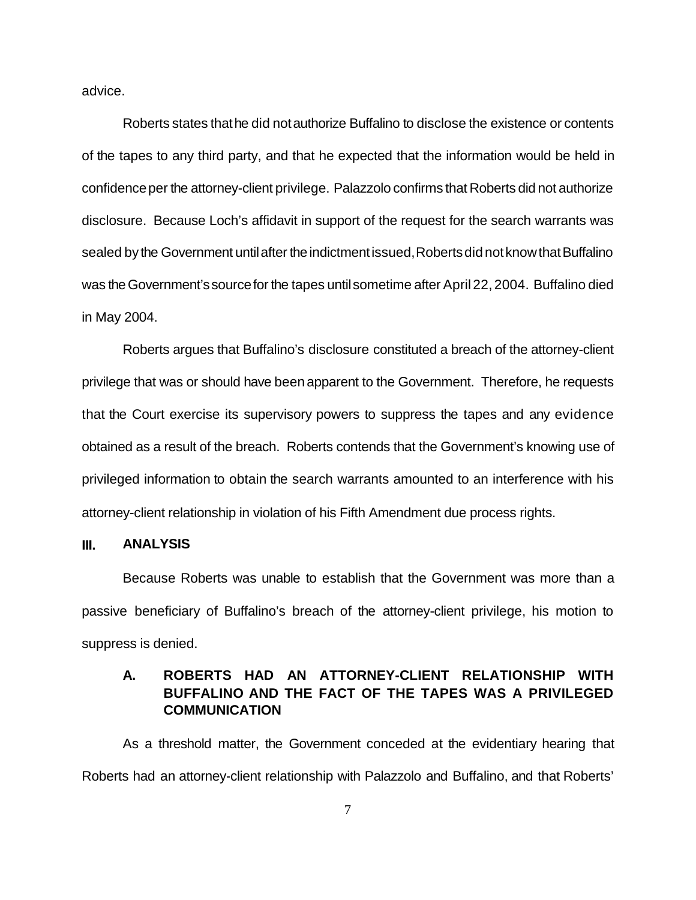advice.

Roberts states thathe did notauthorize Buffalino to disclose the existence or contents of the tapes to any third party, and that he expected that the information would be held in confidence per the attorney-client privilege. Palazzolo confirms that Roberts did not authorize disclosure. Because Loch's affidavit in support of the request for the search warrants was sealed by the Government until after the indictment issued, Roberts did not know that Buffalino was the Government's source for the tapes until sometime after April 22, 2004. Buffalino died in May 2004.

Roberts argues that Buffalino's disclosure constituted a breach of the attorney-client privilege that was or should have beenapparent to the Government. Therefore, he requests that the Court exercise its supervisory powers to suppress the tapes and any evidence obtained as a result of the breach. Roberts contends that the Government's knowing use of privileged information to obtain the search warrants amounted to an interference with his attorney-client relationship in violation of his Fifth Amendment due process rights.

#### **III. ANALYSIS**

Because Roberts was unable to establish that the Government was more than a passive beneficiary of Buffalino's breach of the attorney-client privilege, his motion to suppress is denied.

## **A. ROBERTS HAD AN ATTORNEY-CLIENT RELATIONSHIP WITH BUFFALINO AND THE FACT OF THE TAPES WAS A PRIVILEGED COMMUNICATION**

As a threshold matter, the Government conceded at the evidentiary hearing that Roberts had an attorney-client relationship with Palazzolo and Buffalino, and that Roberts'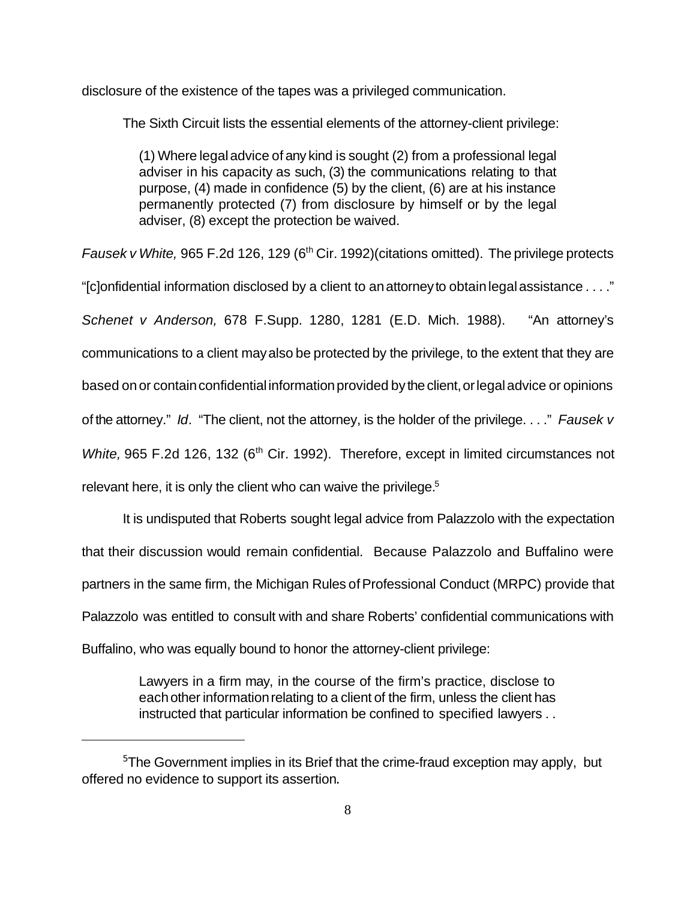disclosure of the existence of the tapes was a privileged communication.

The Sixth Circuit lists the essential elements of the attorney-client privilege:

(1) Where legaladvice of any kind is sought (2) from a professional legal adviser in his capacity as such, (3) the communications relating to that purpose, (4) made in confidence (5) by the client, (6) are at his instance permanently protected (7) from disclosure by himself or by the legal adviser, (8) except the protection be waived.

*Fausek v White,* 965 F.2d 126, 129 (6<sup>th</sup> Cir. 1992) (citations omitted). The privilege protects

"[c]onfidential information disclosed by a client to anattorneyto obtainlegalassistance . . . ." *Schenet v Anderson,* 678 F.Supp. 1280, 1281 (E.D. Mich. 1988). "An attorney's communications to a client mayalso be protected by the privilege, to the extent that they are based on or contain confidential information provided by the client, or legal advice or opinions of the attorney." *Id*. "The client, not the attorney, is the holder of the privilege. . . ." *Fausek v White,* 965 F.2d 126, 132 (6<sup>th</sup> Cir. 1992). Therefore, except in limited circumstances not relevant here, it is only the client who can waive the privilege.<sup>5</sup>

It is undisputed that Roberts sought legal advice from Palazzolo with the expectation that their discussion would remain confidential. Because Palazzolo and Buffalino were partners in the same firm, the Michigan Rules of Professional Conduct (MRPC) provide that Palazzolo was entitled to consult with and share Roberts' confidential communications with Buffalino, who was equally bound to honor the attorney-client privilege:

> Lawyers in a firm may, in the course of the firm's practice, disclose to each other information relating to a client of the firm, unless the client has instructed that particular information be confined to specified lawyers . .

<sup>&</sup>lt;sup>5</sup>The Government implies in its Brief that the crime-fraud exception may apply, but offered no evidence to support its assertion.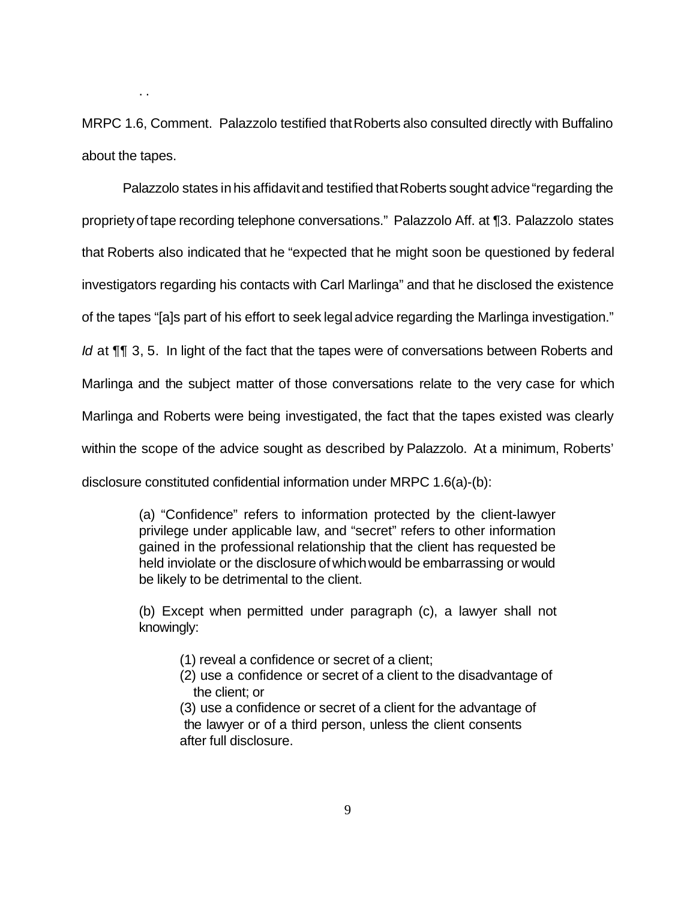MRPC 1.6, Comment. Palazzolo testified that Roberts also consulted directly with Buffalino about the tapes.

. .

Palazzolo states in his affidavit and testified that Roberts sought advice "regarding the proprietyof tape recording telephone conversations." Palazzolo Aff. at ¶3. Palazzolo states that Roberts also indicated that he "expected that he might soon be questioned by federal investigators regarding his contacts with Carl Marlinga" and that he disclosed the existence of the tapes "[a]s part of his effort to seek legaladvice regarding the Marlinga investigation." *Id* at ¶¶ 3, 5. In light of the fact that the tapes were of conversations between Roberts and Marlinga and the subject matter of those conversations relate to the very case for which Marlinga and Roberts were being investigated, the fact that the tapes existed was clearly within the scope of the advice sought as described by Palazzolo. At a minimum, Roberts' disclosure constituted confidential information under MRPC 1.6(a)-(b):

> (a) "Confidence" refers to information protected by the client-lawyer privilege under applicable law, and "secret" refers to other information gained in the professional relationship that the client has requested be held inviolate or the disclosure of whichwould be embarrassing or would be likely to be detrimental to the client.

> (b) Except when permitted under paragraph (c), a lawyer shall not knowingly:

- (1) reveal a confidence or secret of a client;
- (2) use a confidence or secret of a client to the disadvantage of the client; or

(3) use a confidence or secret of a client for the advantage of the lawyer or of a third person, unless the client consents after full disclosure.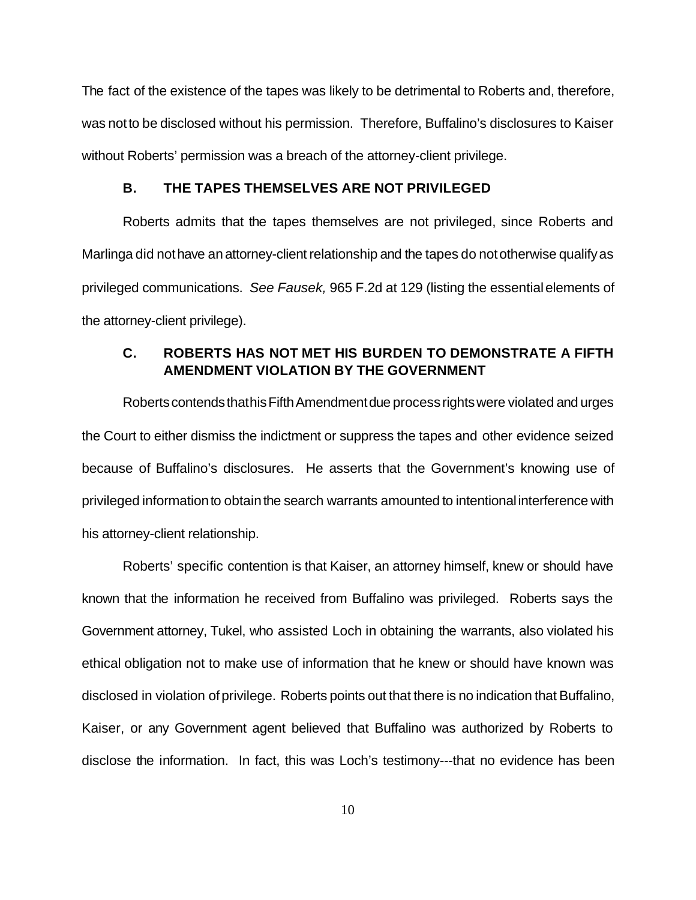The fact of the existence of the tapes was likely to be detrimental to Roberts and, therefore, was notto be disclosed without his permission. Therefore, Buffalino's disclosures to Kaiser without Roberts' permission was a breach of the attorney-client privilege.

#### **B. THE TAPES THEMSELVES ARE NOT PRIVILEGED**

Roberts admits that the tapes themselves are not privileged, since Roberts and Marlinga did not have an attorney-client relationship and the tapes do not otherwise qualify as privileged communications. *See Fausek,* 965 F.2d at 129 (listing the essentialelements of the attorney-client privilege).

### **C. ROBERTS HAS NOT MET HIS BURDEN TO DEMONSTRATE A FIFTH AMENDMENT VIOLATION BY THE GOVERNMENT**

RobertscontendsthathisFifthAmendmentdue processrightswere violated and urges the Court to either dismiss the indictment or suppress the tapes and other evidence seized because of Buffalino's disclosures. He asserts that the Government's knowing use of privileged informationto obtainthe search warrants amounted to intentional interference with his attorney-client relationship.

Roberts' specific contention is that Kaiser, an attorney himself, knew or should have known that the information he received from Buffalino was privileged. Roberts says the Government attorney, Tukel, who assisted Loch in obtaining the warrants, also violated his ethical obligation not to make use of information that he knew or should have known was disclosed in violation of privilege. Roberts points out that there is no indication that Buffalino, Kaiser, or any Government agent believed that Buffalino was authorized by Roberts to disclose the information. In fact, this was Loch's testimony---that no evidence has been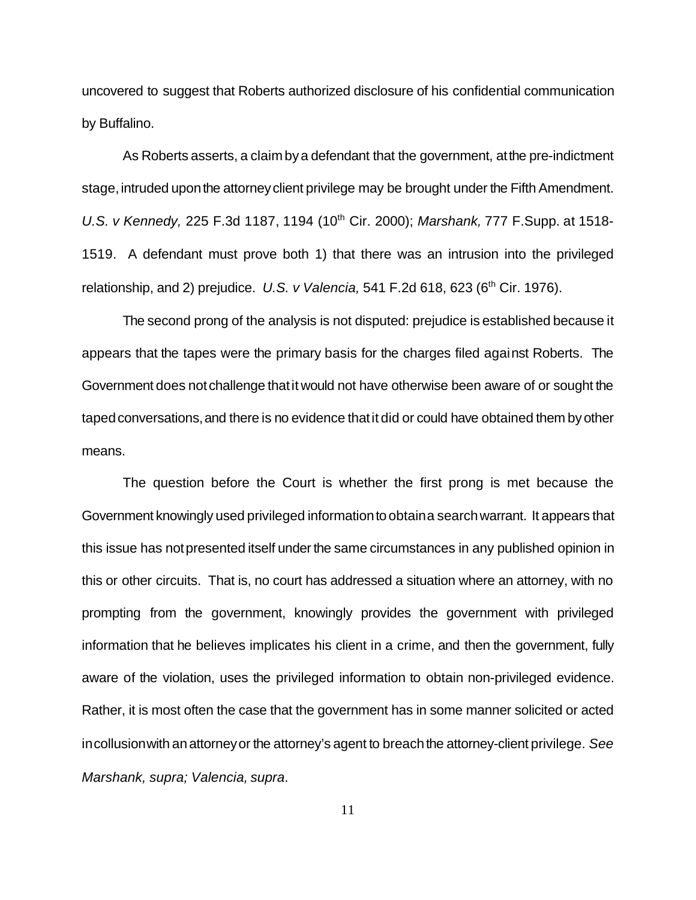uncovered to suggest that Roberts authorized disclosure of his confidential communication by Buffalino.

As Roberts asserts, a claim by a defendant that the government, at the pre-indictment stage, intruded upon the attorney client privilege may be brought under the Fifth Amendment. *U.S. v Kennedy,* 225 F.3d 1187, 1194 (10th Cir. 2000); *Marshank,* 777 F.Supp. at 1518- 1519. A defendant must prove both 1) that there was an intrusion into the privileged relationship, and 2) prejudice. *U.S. v Valencia,* 541 F.2d 618, 623 (6th Cir. 1976).

The second prong of the analysis is not disputed: prejudice is established because it appears that the tapes were the primary basis for the charges filed against Roberts. The Government does notchallenge thatit would not have otherwise been aware of or sought the taped conversations, and there is no evidence that it did or could have obtained them by other means.

The question before the Court is whether the first prong is met because the Government knowingly used privileged informationto obtaina searchwarrant. It appears that this issue has notpresented itself underthe same circumstances in any published opinion in this or other circuits. That is, no court has addressed a situation where an attorney, with no prompting from the government, knowingly provides the government with privileged information that he believes implicates his client in a crime, and then the government, fully aware of the violation, uses the privileged information to obtain non-privileged evidence. Rather, it is most often the case that the government has in some manner solicited or acted in collusion with an attorney or the attorney's agent to breach the attorney-client privilege. See *Marshank, supra; Valencia, supra*.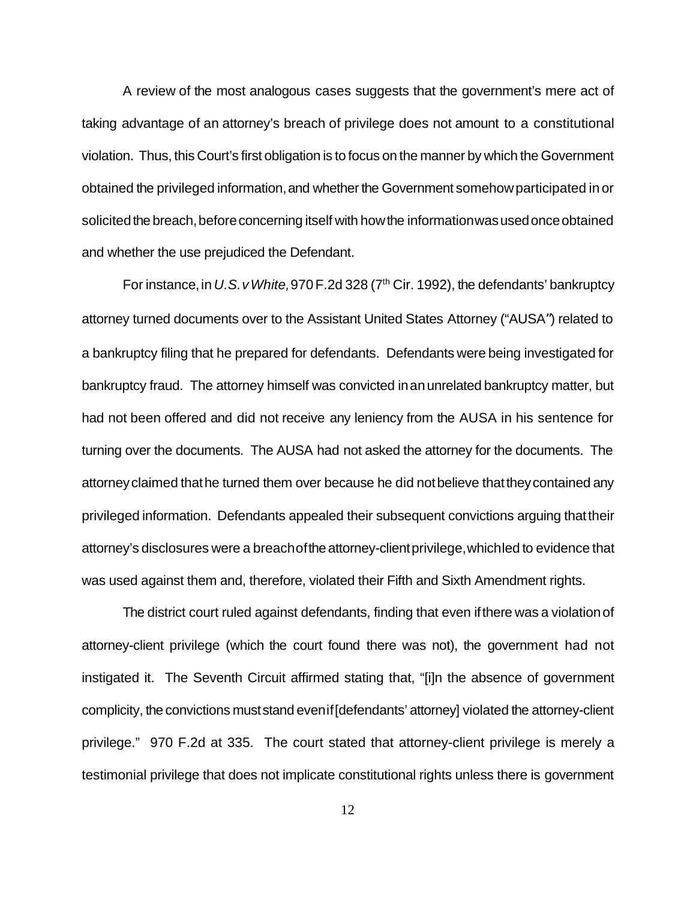A review of the most analogous cases suggests that the government's mere act of taking advantage of an attorney's breach of privilege does not amount to a constitutional violation. Thus, this Court's first obligation is to focus on the manner by which the Government obtained the privileged information, and whether the Government somehow participated in or solicited the breach, before concerning itself with how the information was used once obtained and whether the use prejudiced the Defendant.

For instance, in U.S. v White, 970 F.2d 328 (7<sup>th</sup> Cir. 1992), the defendants' bankruptcy attorney turned documents over to the Assistant United States Attorney ("AUSA") related to a bankruptcy filing that he prepared for defendants. Defendants were being investigated for bankruptcy fraud. The attorney himself was convicted inanunrelated bankruptcy matter, but had not been offered and did not receive any leniency from the AUSA in his sentence for turning over the documents. The AUSA had not asked the attorney for the documents. The attorneyclaimed thathe turned them over because he did notbelieve thattheycontained any privileged information. Defendants appealed their subsequent convictions arguing thattheir attorney's disclosures were a breachofthe attorney-clientprivilege,whichled to evidence that was used against them and, therefore, violated their Fifth and Sixth Amendment rights.

The district court ruled against defendants, finding that even ifthere was a violationof attorney-client privilege (which the court found there was not), the government had not instigated it. The Seventh Circuit affirmed stating that, "[i]n the absence of government complicity, the convictions muststand evenif[defendants' attorney] violated the attorney-client privilege." 970 F.2d at 335. The court stated that attorney-client privilege is merely a testimonial privilege that does not implicate constitutional rights unless there is government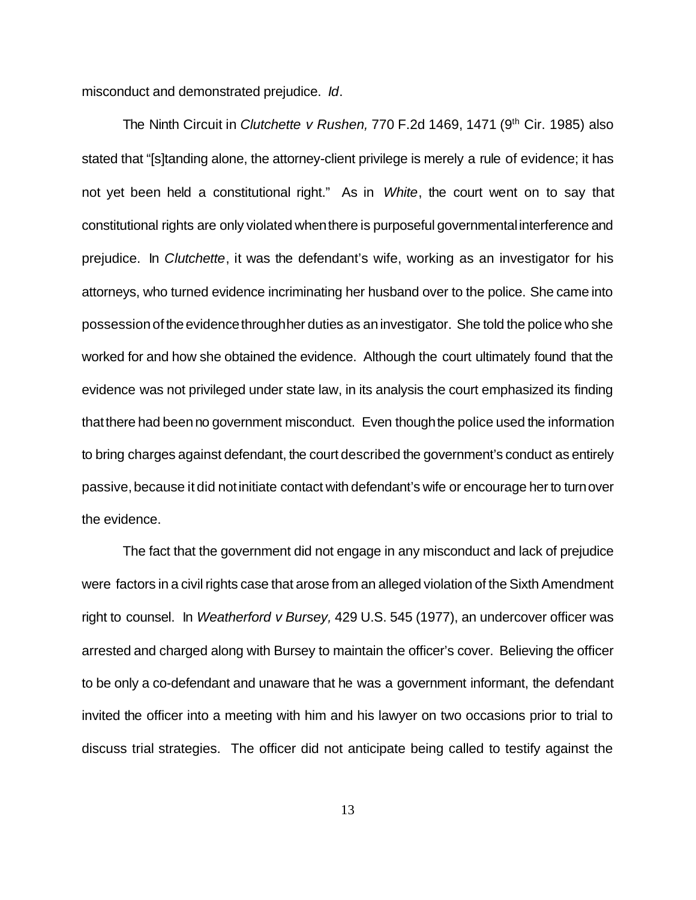misconduct and demonstrated prejudice. *Id*.

The Ninth Circuit in *Clutchette v Rushen,* 770 F.2d 1469, 1471 (9th Cir. 1985) also stated that "[s]tanding alone, the attorney-client privilege is merely a rule of evidence; it has not yet been held a constitutional right." As in *White*, the court went on to say that constitutional rights are only violated whenthere is purposeful governmentalinterference and prejudice. In *Clutchette*, it was the defendant's wife, working as an investigator for his attorneys, who turned evidence incriminating her husband over to the police. She came into possession of the evidence through her duties as an investigator. She told the police who she worked for and how she obtained the evidence. Although the court ultimately found that the evidence was not privileged under state law, in its analysis the court emphasized its finding thatthere had beenno government misconduct. Even thoughthe police used the information to bring charges against defendant, the court described the government's conduct as entirely passive, because it did not initiate contact with defendant's wife or encourage her to turn over the evidence.

The fact that the government did not engage in any misconduct and lack of prejudice were factors in a civil rights case that arose from an alleged violation of the Sixth Amendment right to counsel. In *Weatherford v Bursey,* 429 U.S. 545 (1977), an undercover officer was arrested and charged along with Bursey to maintain the officer's cover. Believing the officer to be only a co-defendant and unaware that he was a government informant, the defendant invited the officer into a meeting with him and his lawyer on two occasions prior to trial to discuss trial strategies. The officer did not anticipate being called to testify against the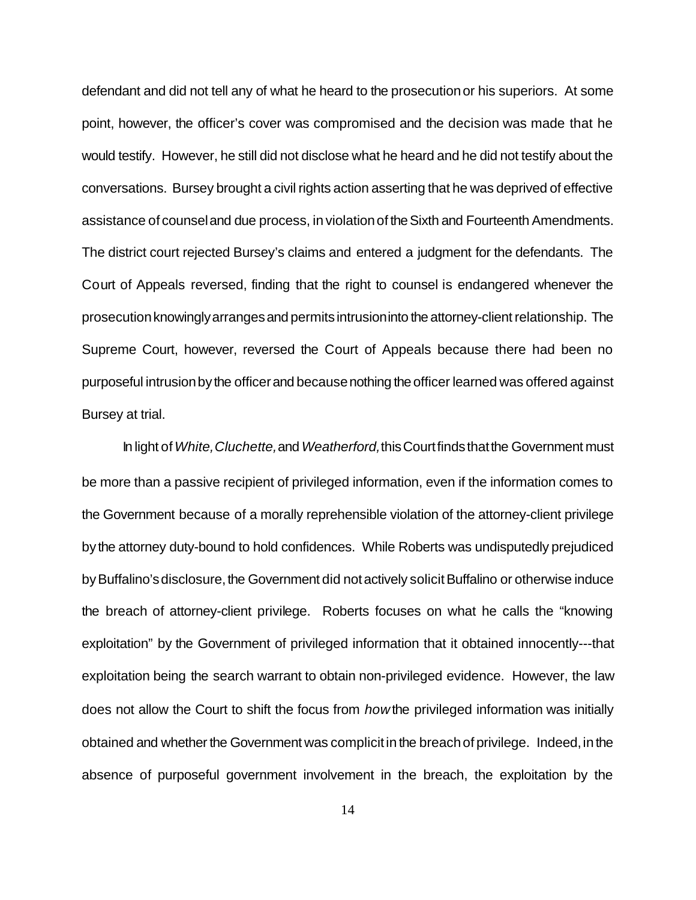defendant and did not tell any of what he heard to the prosecutionor his superiors. At some point, however, the officer's cover was compromised and the decision was made that he would testify. However, he still did not disclose what he heard and he did not testify about the conversations. Bursey brought a civil rights action asserting that he was deprived of effective assistance of counseland due process, in violationof theSixth and FourteenthAmendments. The district court rejected Bursey's claims and entered a judgment for the defendants. The Court of Appeals reversed, finding that the right to counsel is endangered whenever the prosecutionknowinglyarrangesand permitsintrusioninto the attorney-client relationship. The Supreme Court, however, reversed the Court of Appeals because there had been no purposeful intrusion by the officer and because nothing the officer learned was offered against Bursey at trial.

In light of*White,Cluchette,*and*Weatherford,*thisCourtfindsthatthe Government must be more than a passive recipient of privileged information, even if the information comes to the Government because of a morally reprehensible violation of the attorney-client privilege by the attorney duty-bound to hold confidences. While Roberts was undisputedly prejudiced by Buffalino's disclosure, the Government did not actively solicit Buffalino or otherwise induce the breach of attorney-client privilege. Roberts focuses on what he calls the "knowing exploitation" by the Government of privileged information that it obtained innocently---that exploitation being the search warrant to obtain non-privileged evidence. However, the law does not allow the Court to shift the focus from *how*the privileged information was initially obtained and whether the Government was complicit in the breach of privilege. Indeed, in the absence of purposeful government involvement in the breach, the exploitation by the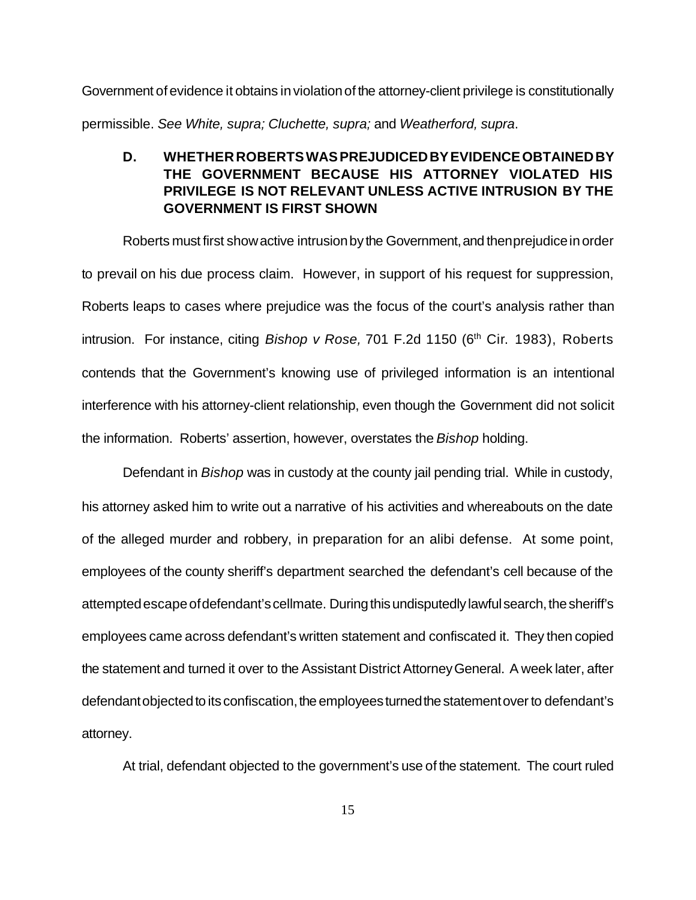Government of evidence it obtains in violationof the attorney-client privilege is constitutionally permissible. *See White, supra; Cluchette, supra;* and *Weatherford, supra*.

### **D. WHETHERROBERTS WAS PREJUDICED BY EVIDENCE OBTAINED BY THE GOVERNMENT BECAUSE HIS ATTORNEY VIOLATED HIS PRIVILEGE IS NOT RELEVANT UNLESS ACTIVE INTRUSION BY THE GOVERNMENT IS FIRST SHOWN**

Roberts must first show active intrusion by the Government, and then prejudice in order to prevail on his due process claim. However, in support of his request for suppression, Roberts leaps to cases where prejudice was the focus of the court's analysis rather than intrusion. For instance, citing *Bishop v Rose*, 701 F.2d 1150 (6<sup>th</sup> Cir. 1983), Roberts contends that the Government's knowing use of privileged information is an intentional interference with his attorney-client relationship, even though the Government did not solicit the information. Roberts' assertion, however, overstates the *Bishop* holding.

Defendant in *Bishop* was in custody at the county jail pending trial. While in custody, his attorney asked him to write out a narrative of his activities and whereabouts on the date of the alleged murder and robbery, in preparation for an alibi defense. At some point, employees of the county sheriff's department searched the defendant's cell because of the attempted escape of defendant's cellmate. During this undisputedly lawful search, the sheriff's employees came across defendant's written statement and confiscated it. They then copied the statement and turned it over to the Assistant District AttorneyGeneral. A week later, after defendant objected to its confiscation, the employees turned the statement over to defendant's attorney.

At trial, defendant objected to the government's use of the statement. The court ruled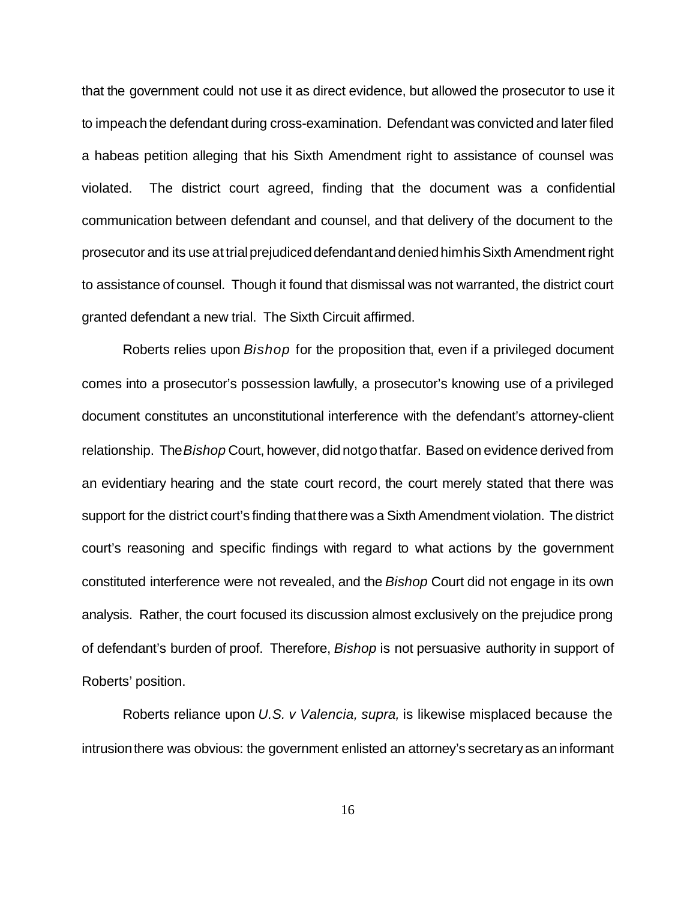that the government could not use it as direct evidence, but allowed the prosecutor to use it to impeach the defendant during cross-examination. Defendant was convicted and later filed a habeas petition alleging that his Sixth Amendment right to assistance of counsel was violated. The district court agreed, finding that the document was a confidential communication between defendant and counsel, and that delivery of the document to the prosecutor and its use at trialprejudiceddefendantand deniedhimhisSixth Amendment right to assistance of counsel. Though it found that dismissal was not warranted, the district court granted defendant a new trial. The Sixth Circuit affirmed.

Roberts relies upon *Bishop* for the proposition that, even if a privileged document comes into a prosecutor's possession lawfully, a prosecutor's knowing use of a privileged document constitutes an unconstitutional interference with the defendant's attorney-client relationship. The *Bishop* Court, however, didnotgothatfar. Based on evidence derived from an evidentiary hearing and the state court record, the court merely stated that there was support for the district court's finding thatthere was a Sixth Amendment violation. The district court's reasoning and specific findings with regard to what actions by the government constituted interference were not revealed, and the *Bishop* Court did not engage in its own analysis. Rather, the court focused its discussion almost exclusively on the prejudice prong of defendant's burden of proof. Therefore, *Bishop* is not persuasive authority in support of Roberts' position.

Roberts reliance upon *U.S. v Valencia, supra,* is likewise misplaced because the intrusion there was obvious: the government enlisted an attorney's secretary as an informant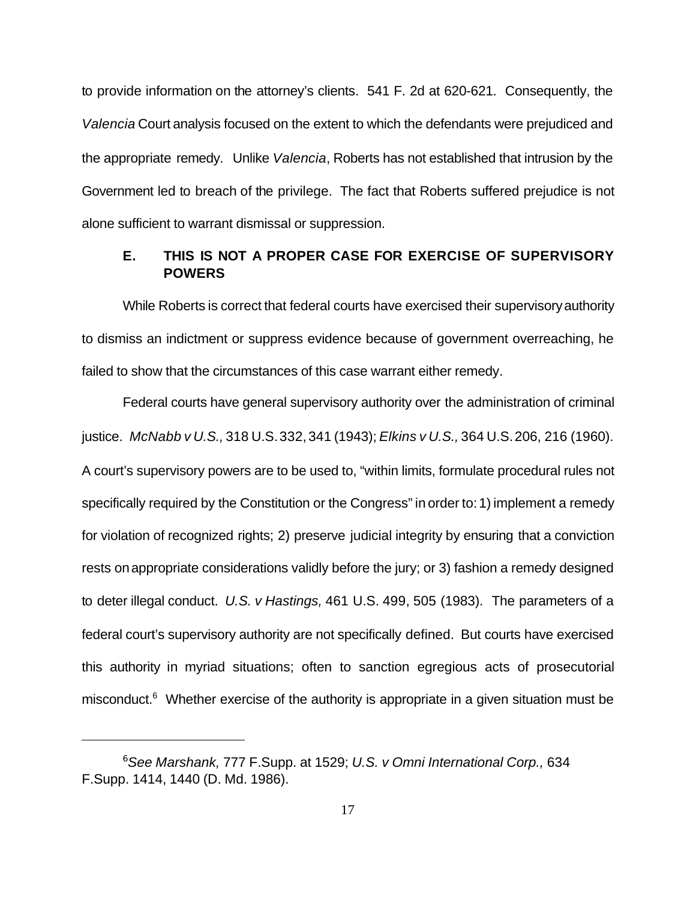to provide information on the attorney's clients. 541 F. 2d at 620-621. Consequently, the *Valencia* Court analysis focused on the extent to which the defendants were prejudiced and the appropriate remedy. Unlike *Valencia*, Roberts has not established that intrusion by the Government led to breach of the privilege. The fact that Roberts suffered prejudice is not alone sufficient to warrant dismissal or suppression.

### **E. THIS IS NOT A PROPER CASE FOR EXERCISE OF SUPERVISORY POWERS**

While Roberts is correct that federal courts have exercised their supervisoryauthority to dismiss an indictment or suppress evidence because of government overreaching, he failed to show that the circumstances of this case warrant either remedy.

Federal courts have general supervisory authority over the administration of criminal justice. *McNabb v U.S.,* 318 U.S.332,341 (1943); *Elkins v U.S.,* 364 U.S.206, 216 (1960). A court's supervisory powers are to be used to, "within limits, formulate procedural rules not specifically required by the Constitution or the Congress" in order to:1) implement a remedy for violation of recognized rights; 2) preserve judicial integrity by ensuring that a conviction rests onappropriate considerations validly before the jury; or 3) fashion a remedy designed to deter illegal conduct. *U.S. v Hastings,* 461 U.S. 499, 505 (1983). The parameters of a federal court's supervisory authority are not specifically defined. But courts have exercised this authority in myriad situations; often to sanction egregious acts of prosecutorial misconduct.<sup>6</sup> Whether exercise of the authority is appropriate in a given situation must be

<sup>6</sup>*See Marshank,* 777 F.Supp. at 1529; *U.S. v Omni International Corp.,* 634 F.Supp. 1414, 1440 (D. Md. 1986).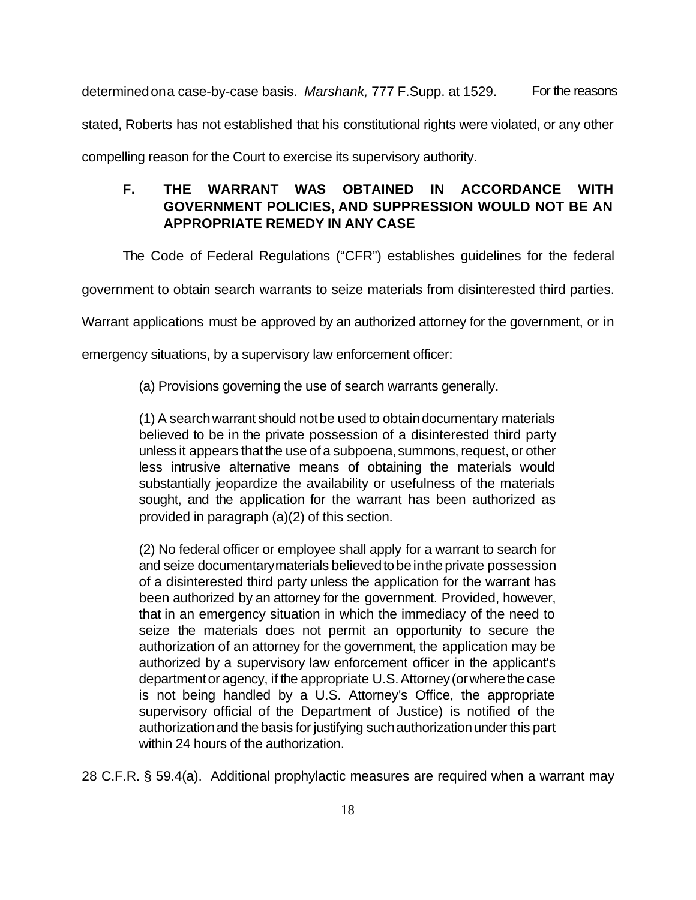determined on a case-by-case basis. Marshank, 777 F.Supp. at 1529. For the reasons stated, Roberts has not established that his constitutional rights were violated, or any other

compelling reason for the Court to exercise its supervisory authority.

# **F. THE WARRANT WAS OBTAINED IN ACCORDANCE WITH GOVERNMENT POLICIES, AND SUPPRESSION WOULD NOT BE AN APPROPRIATE REMEDY IN ANY CASE**

The Code of Federal Regulations ("CFR") establishes guidelines for the federal

government to obtain search warrants to seize materials from disinterested third parties.

Warrant applications must be approved by an authorized attorney for the government, or in

emergency situations, by a supervisory law enforcement officer:

(a) Provisions governing the use of search warrants generally.

(1) A searchwarrant should notbe used to obtaindocumentary materials believed to be in the private possession of a disinterested third party unless it appears that the use of a subpoena, summons, request, or other less intrusive alternative means of obtaining the materials would substantially jeopardize the availability or usefulness of the materials sought, and the application for the warrant has been authorized as provided in paragraph (a)(2) of this section.

(2) No federal officer or employee shall apply for a warrant to search for and seize documentarymaterials believed to be in the private possession of a disinterested third party unless the application for the warrant has been authorized by an attorney for the government. Provided, however, that in an emergency situation in which the immediacy of the need to seize the materials does not permit an opportunity to secure the authorization of an attorney for the government, the application may be authorized by a supervisory law enforcement officer in the applicant's department or agency, if the appropriate U.S. Attorney (or where the case is not being handled by a U.S. Attorney's Office, the appropriate supervisory official of the Department of Justice) is notified of the authorization and the basis for justifying such authorization under this part within 24 hours of the authorization.

28 C.F.R. § 59.4(a). Additional prophylactic measures are required when a warrant may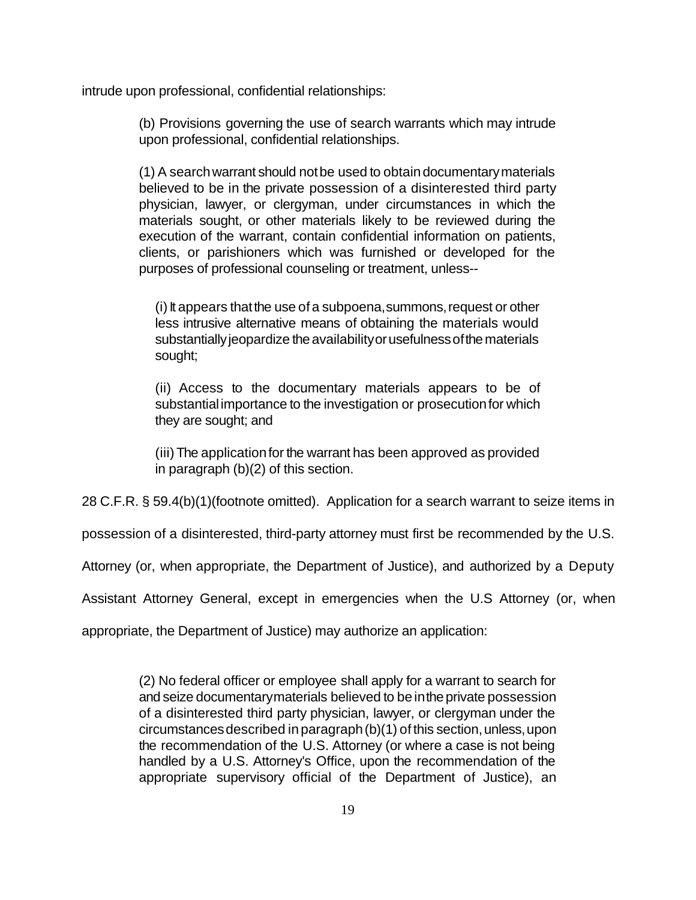intrude upon professional, confidential relationships:

(b) Provisions governing the use of search warrants which may intrude upon professional, confidential relationships.

(1) A searchwarrant should notbe used to obtaindocumentarymaterials believed to be in the private possession of a disinterested third party physician, lawyer, or clergyman, under circumstances in which the materials sought, or other materials likely to be reviewed during the execution of the warrant, contain confidential information on patients, clients, or parishioners which was furnished or developed for the purposes of professional counseling or treatment, unless--

 $(i)$  it appears that the use of a subpoena, summons, request or other less intrusive alternative means of obtaining the materials would substantially jeopardize the availability or usefulness of the materials sought;

(ii) Access to the documentary materials appears to be of substantial importance to the investigation or prosecutionfor which they are sought; and

(iii)The applicationfor the warrant has been approved as provided in paragraph (b)(2) of this section.

28 C.F.R. § 59.4(b)(1)(footnote omitted). Application for a search warrant to seize items in

possession of a disinterested, third-party attorney must first be recommended by the U.S.

Attorney (or, when appropriate, the Department of Justice), and authorized by a Deputy

Assistant Attorney General, except in emergencies when the U.S Attorney (or, when

appropriate, the Department of Justice) may authorize an application:

(2) No federal officer or employee shall apply for a warrant to search for and seize documentarymaterials believed to be in the private possession of a disinterested third party physician, lawyer, or clergyman under the circumstances described in paragraph (b)(1) of this section, unless, upon the recommendation of the U.S. Attorney (or where a case is not being handled by a U.S. Attorney's Office, upon the recommendation of the appropriate supervisory official of the Department of Justice), an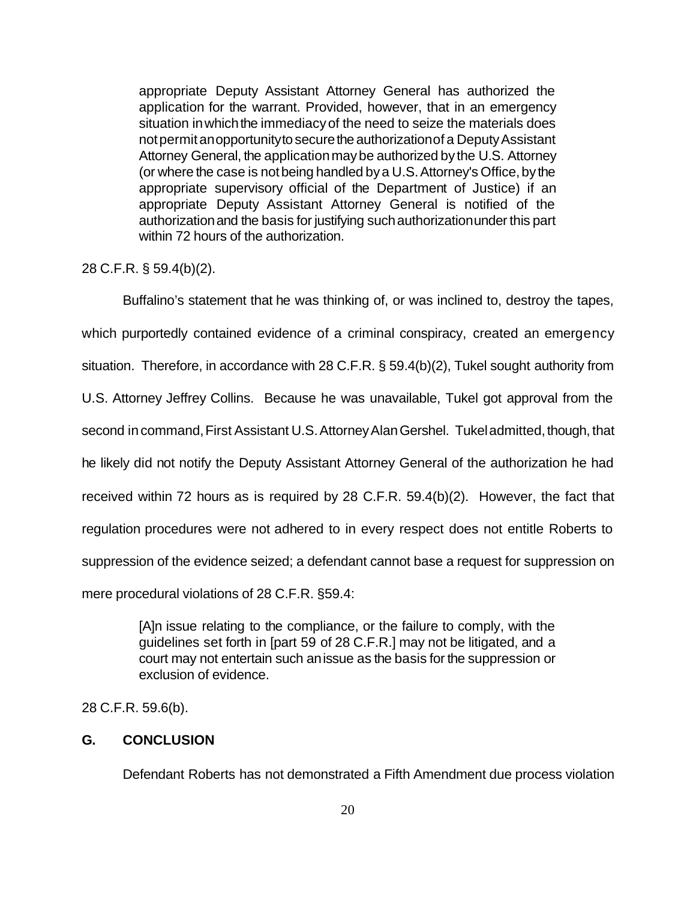appropriate Deputy Assistant Attorney General has authorized the application for the warrant. Provided, however, that in an emergency situation in which the immediacy of the need to seize the materials does not permit anopportunity to secure the authorization of a Deputy Assistant Attorney General, the applicationmaybe authorized by the U.S. Attorney (or where the case is not being handled by a U.S. Attorney's Office, by the appropriate supervisory official of the Department of Justice) if an appropriate Deputy Assistant Attorney General is notified of the authorizationand the basis for justifying suchauthorizationunderthis part within 72 hours of the authorization.

### 28 C.F.R. § 59.4(b)(2).

Buffalino's statement that he was thinking of, or was inclined to, destroy the tapes, which purportedly contained evidence of a criminal conspiracy, created an emergency situation. Therefore, in accordance with 28 C.F.R. § 59.4(b)(2), Tukel sought authority from U.S. Attorney Jeffrey Collins. Because he was unavailable, Tukel got approval from the second in command, First Assistant U.S. Attorney Alan Gershel. Tukel admitted, though, that he likely did not notify the Deputy Assistant Attorney General of the authorization he had received within 72 hours as is required by 28 C.F.R. 59.4(b)(2). However, the fact that regulation procedures were not adhered to in every respect does not entitle Roberts to suppression of the evidence seized; a defendant cannot base a request for suppression on mere procedural violations of 28 C.F.R. §59.4:

> [A]n issue relating to the compliance, or the failure to comply, with the guidelines set forth in [part 59 of 28 C.F.R.] may not be litigated, and a court may not entertain such anissue as the basis for the suppression or exclusion of evidence.

28 C.F.R. 59.6(b).

### **G. CONCLUSION**

Defendant Roberts has not demonstrated a Fifth Amendment due process violation